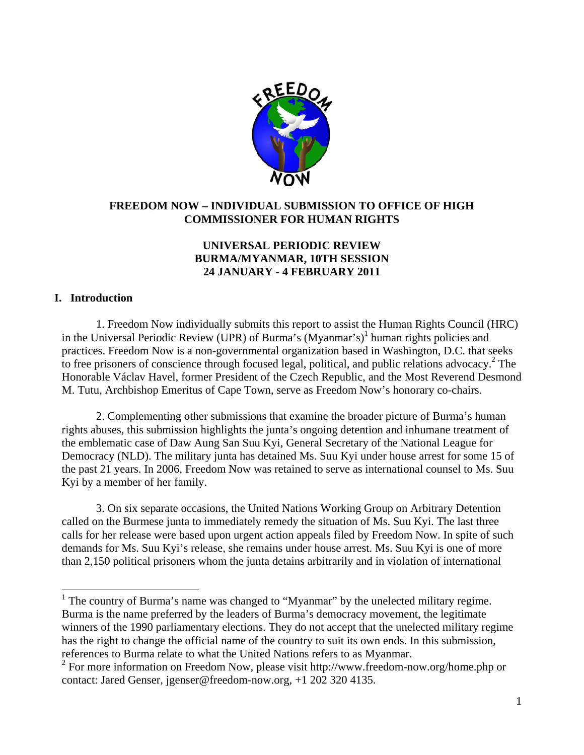

### **FREEDOM NOW – INDIVIDUAL SUBMISSION TO OFFICE OF HIGH COMMISSIONER FOR HUMAN RIGHTS**

# **UNIVERSAL PERIODIC REVIEW BURMA/MYANMAR, 10TH SESSION 24 JANUARY - 4 FEBRUARY 2011**

#### **I. Introduction**

l

 1. Freedom Now individually submits this report to assist the Human Rights Council (HRC) in the Universal Periodic Review (UPR) of Burma's (Myanmar's)<sup>1</sup> human rights policies and practices. Freedom Now is a non-governmental organization based in Washington, D.C. that seeks to free prisoners of conscience through focused legal, political, and public relations advocacy.<sup>2</sup> The Honorable Václav Havel, former President of the Czech Republic, and the Most Reverend Desmond M. Tutu, Archbishop Emeritus of Cape Town, serve as Freedom Now's honorary co-chairs.

 2. Complementing other submissions that examine the broader picture of Burma's human rights abuses, this submission highlights the junta's ongoing detention and inhumane treatment of the emblematic case of Daw Aung San Suu Kyi, General Secretary of the National League for Democracy (NLD). The military junta has detained Ms. Suu Kyi under house arrest for some 15 of the past 21 years. In 2006, Freedom Now was retained to serve as international counsel to Ms. Suu Kyi by a member of her family.

 3. On six separate occasions, the United Nations Working Group on Arbitrary Detention called on the Burmese junta to immediately remedy the situation of Ms. Suu Kyi. The last three calls for her release were based upon urgent action appeals filed by Freedom Now. In spite of such demands for Ms. Suu Kyi's release, she remains under house arrest. Ms. Suu Kyi is one of more than 2,150 political prisoners whom the junta detains arbitrarily and in violation of international

<sup>&</sup>lt;sup>1</sup> The country of Burma's name was changed to "Myanmar" by the unelected military regime. Burma is the name preferred by the leaders of Burma's democracy movement, the legitimate winners of the 1990 parliamentary elections. They do not accept that the unelected military regime has the right to change the official name of the country to suit its own ends. In this submission, references to Burma relate to what the United Nations refers to as Myanmar.

 $2^2$  For more information on Freedom Now, please visit http://www.freedom-now.org/home.php or contact: Jared Genser, jgenser@freedom-now.org, +1 202 320 4135.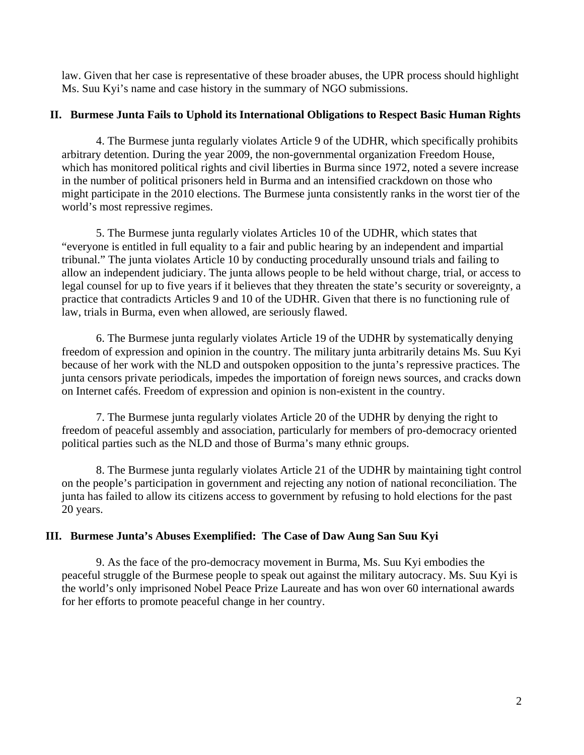law. Given that her case is representative of these broader abuses, the UPR process should highlight Ms. Suu Kyi's name and case history in the summary of NGO submissions.

### **II. Burmese Junta Fails to Uphold its International Obligations to Respect Basic Human Rights**

4. The Burmese junta regularly violates Article 9 of the UDHR, which specifically prohibits arbitrary detention. During the year 2009, the non-governmental organization Freedom House, which has monitored political rights and civil liberties in Burma since 1972, noted a severe increase in the number of political prisoners held in Burma and an intensified crackdown on those who might participate in the 2010 elections. The Burmese junta consistently ranks in the worst tier of the world's most repressive regimes.

5. The Burmese junta regularly violates Articles 10 of the UDHR, which states that "everyone is entitled in full equality to a fair and public hearing by an independent and impartial tribunal." The junta violates Article 10 by conducting procedurally unsound trials and failing to allow an independent judiciary. The junta allows people to be held without charge, trial, or access to legal counsel for up to five years if it believes that they threaten the state's security or sovereignty, a practice that contradicts Articles 9 and 10 of the UDHR. Given that there is no functioning rule of law, trials in Burma, even when allowed, are seriously flawed.

6. The Burmese junta regularly violates Article 19 of the UDHR by systematically denying freedom of expression and opinion in the country. The military junta arbitrarily detains Ms. Suu Kyi because of her work with the NLD and outspoken opposition to the junta's repressive practices. The junta censors private periodicals, impedes the importation of foreign news sources, and cracks down on Internet cafés. Freedom of expression and opinion is non-existent in the country.

7. The Burmese junta regularly violates Article 20 of the UDHR by denying the right to freedom of peaceful assembly and association, particularly for members of pro-democracy oriented political parties such as the NLD and those of Burma's many ethnic groups.

8. The Burmese junta regularly violates Article 21 of the UDHR by maintaining tight control on the people's participation in government and rejecting any notion of national reconciliation. The junta has failed to allow its citizens access to government by refusing to hold elections for the past 20 years.

## **III. Burmese Junta's Abuses Exemplified: The Case of Daw Aung San Suu Kyi**

 9. As the face of the pro-democracy movement in Burma, Ms. Suu Kyi embodies the peaceful struggle of the Burmese people to speak out against the military autocracy. Ms. Suu Kyi is the world's only imprisoned Nobel Peace Prize Laureate and has won over 60 international awards for her efforts to promote peaceful change in her country.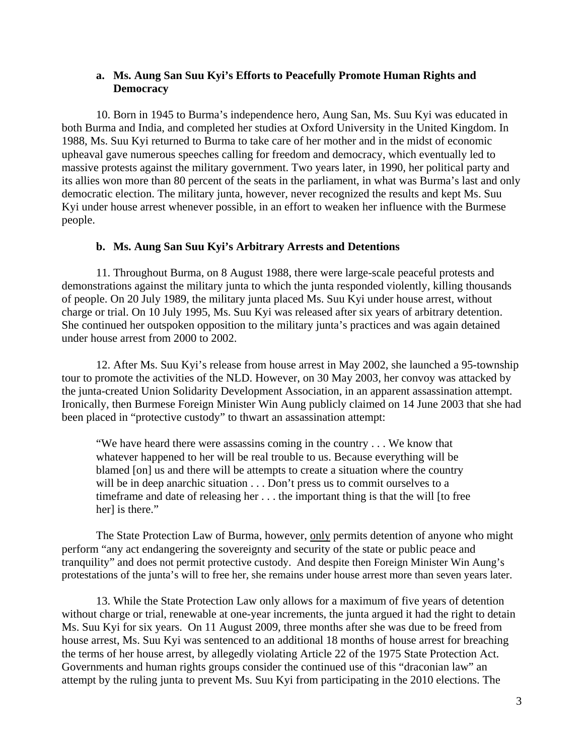#### **a. Ms. Aung San Suu Kyi's Efforts to Peacefully Promote Human Rights and Democracy**

 10. Born in 1945 to Burma's independence hero, Aung San, Ms. Suu Kyi was educated in both Burma and India, and completed her studies at Oxford University in the United Kingdom. In 1988, Ms. Suu Kyi returned to Burma to take care of her mother and in the midst of economic upheaval gave numerous speeches calling for freedom and democracy, which eventually led to massive protests against the military government. Two years later, in 1990, her political party and its allies won more than 80 percent of the seats in the parliament, in what was Burma's last and only democratic election. The military junta, however, never recognized the results and kept Ms. Suu Kyi under house arrest whenever possible, in an effort to weaken her influence with the Burmese people.

#### **b. Ms. Aung San Suu Kyi's Arbitrary Arrests and Detentions**

 11. Throughout Burma, on 8 August 1988, there were large-scale peaceful protests and demonstrations against the military junta to which the junta responded violently, killing thousands of people. On 20 July 1989, the military junta placed Ms. Suu Kyi under house arrest, without charge or trial. On 10 July 1995, Ms. Suu Kyi was released after six years of arbitrary detention. She continued her outspoken opposition to the military junta's practices and was again detained under house arrest from 2000 to 2002.

12. After Ms. Suu Kyi's release from house arrest in May 2002, she launched a 95-township tour to promote the activities of the NLD. However, on 30 May 2003, her convoy was attacked by the junta-created Union Solidarity Development Association, in an apparent assassination attempt. Ironically, then Burmese Foreign Minister Win Aung publicly claimed on 14 June 2003 that she had been placed in "protective custody" to thwart an assassination attempt:

"We have heard there were assassins coming in the country . . . We know that whatever happened to her will be real trouble to us. Because everything will be blamed [on] us and there will be attempts to create a situation where the country will be in deep anarchic situation . . . Don't press us to commit ourselves to a timeframe and date of releasing her . . . the important thing is that the will [to free herl is there."

The State Protection Law of Burma, however, only permits detention of anyone who might perform "any act endangering the sovereignty and security of the state or public peace and tranquility" and does not permit protective custody. And despite then Foreign Minister Win Aung's protestations of the junta's will to free her, she remains under house arrest more than seven years later.

 13. While the State Protection Law only allows for a maximum of five years of detention without charge or trial, renewable at one-year increments, the junta argued it had the right to detain Ms. Suu Kyi for six years. On 11 August 2009, three months after she was due to be freed from house arrest, Ms. Suu Kyi was sentenced to an additional 18 months of house arrest for breaching the terms of her house arrest, by allegedly violating Article 22 of the 1975 State Protection Act. Governments and human rights groups consider the continued use of this "draconian law" an attempt by the ruling junta to prevent Ms. Suu Kyi from participating in the 2010 elections. The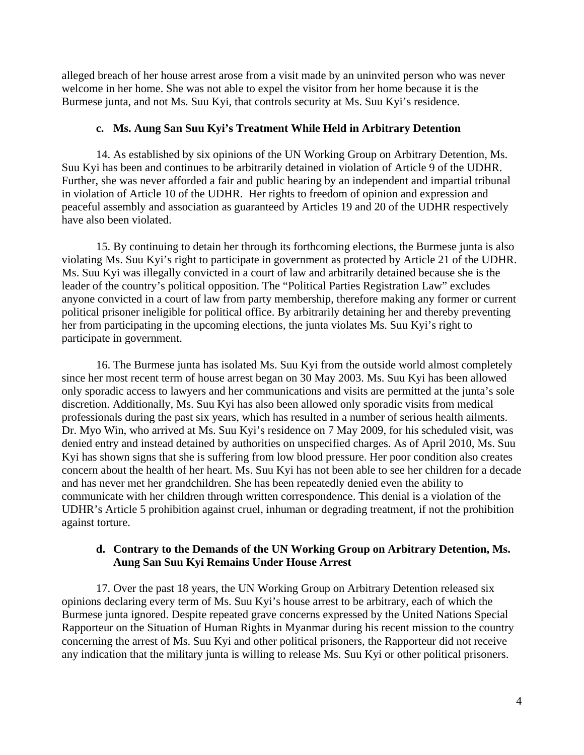alleged breach of her house arrest arose from a visit made by an uninvited person who was never welcome in her home. She was not able to expel the visitor from her home because it is the Burmese junta, and not Ms. Suu Kyi, that controls security at Ms. Suu Kyi's residence.

## **c. Ms. Aung San Suu Kyi's Treatment While Held in Arbitrary Detention**

14. As established by six opinions of the UN Working Group on Arbitrary Detention, Ms. Suu Kyi has been and continues to be arbitrarily detained in violation of Article 9 of the UDHR. Further, she was never afforded a fair and public hearing by an independent and impartial tribunal in violation of Article 10 of the UDHR. Her rights to freedom of opinion and expression and peaceful assembly and association as guaranteed by Articles 19 and 20 of the UDHR respectively have also been violated.

15. By continuing to detain her through its forthcoming elections, the Burmese junta is also violating Ms. Suu Kyi's right to participate in government as protected by Article 21 of the UDHR. Ms. Suu Kyi was illegally convicted in a court of law and arbitrarily detained because she is the leader of the country's political opposition. The "Political Parties Registration Law" excludes anyone convicted in a court of law from party membership, therefore making any former or current political prisoner ineligible for political office. By arbitrarily detaining her and thereby preventing her from participating in the upcoming elections, the junta violates Ms. Suu Kyi's right to participate in government.

16. The Burmese junta has isolated Ms. Suu Kyi from the outside world almost completely since her most recent term of house arrest began on 30 May 2003. Ms. Suu Kyi has been allowed only sporadic access to lawyers and her communications and visits are permitted at the junta's sole discretion. Additionally, Ms. Suu Kyi has also been allowed only sporadic visits from medical professionals during the past six years, which has resulted in a number of serious health ailments. Dr. Myo Win, who arrived at Ms. Suu Kyi's residence on 7 May 2009, for his scheduled visit, was denied entry and instead detained by authorities on unspecified charges. As of April 2010, Ms. Suu Kyi has shown signs that she is suffering from low blood pressure. Her poor condition also creates concern about the health of her heart. Ms. Suu Kyi has not been able to see her children for a decade and has never met her grandchildren. She has been repeatedly denied even the ability to communicate with her children through written correspondence. This denial is a violation of the UDHR's Article 5 prohibition against cruel, inhuman or degrading treatment, if not the prohibition against torture.

## **d. Contrary to the Demands of the UN Working Group on Arbitrary Detention, Ms. Aung San Suu Kyi Remains Under House Arrest**

 17. Over the past 18 years, the UN Working Group on Arbitrary Detention released six opinions declaring every term of Ms. Suu Kyi's house arrest to be arbitrary, each of which the Burmese junta ignored. Despite repeated grave concerns expressed by the United Nations Special Rapporteur on the Situation of Human Rights in Myanmar during his recent mission to the country concerning the arrest of Ms. Suu Kyi and other political prisoners, the Rapporteur did not receive any indication that the military junta is willing to release Ms. Suu Kyi or other political prisoners.